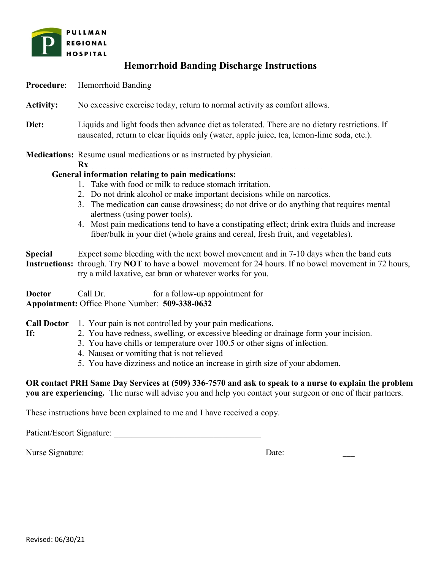

## **Hemorrhoid Banding Discharge Instructions**

- **Procedure**: Hemorrhoid Banding
- **Activity:** No excessive exercise today, return to normal activity as comfort allows.
- **Diet:** Liquids and light foods then advance diet as tolerated. There are no dietary restrictions. If nauseated, return to clear liquids only (water, apple juice, tea, lemon-lime soda, etc.).

**Medications:** Resume usual medications or as instructed by physician.

## **Rx**\_\_\_\_\_\_\_\_\_\_\_\_\_\_\_\_\_\_\_\_\_\_\_\_\_\_\_\_\_\_\_\_\_\_\_\_\_\_\_\_\_\_\_\_\_\_\_\_\_\_\_\_\_\_\_

## **General information relating to pain medications:**

- 1. Take with food or milk to reduce stomach irritation.
- 2. Do not drink alcohol or make important decisions while on narcotics.
- 3. The medication can cause drowsiness; do not drive or do anything that requires mental alertness (using power tools).
- 4. Most pain medications tend to have a constipating effect; drink extra fluids and increase fiber/bulk in your diet (whole grains and cereal, fresh fruit, and vegetables).

**Special** Expect some bleeding with the next bowel movement and in 7-10 days when the band cuts **Instructions:** through. Try **NOT** to have a bowel movement for 24 hours. If no bowel movement in 72 hours, try a mild laxative, eat bran or whatever works for you.

**Doctor** Call Dr.  $\qquad \qquad$  for a follow-up appointment for **Appointment:** Office Phone Number: **509-338-0632**

- **Call Doctor** 1. Your pain is not controlled by your pain medications.
- 

**If:** 2. You have redness, swelling, or excessive bleeding or drainage form your incision.

- 3. You have chills or temperature over 100.5 or other signs of infection.
- 4. Nausea or vomiting that is not relieved
- 5. You have dizziness and notice an increase in girth size of your abdomen.

**OR contact PRH Same Day Services at (509) 336-7570 and ask to speak to a nurse to explain the problem you are experiencing.** The nurse will advise you and help you contact your surgeon or one of their partners.

These instructions have been explained to me and I have received a copy.

Patient/Escort Signature:

Nurse Signature: \_\_\_\_\_\_\_\_\_\_\_\_\_\_\_\_\_\_\_\_\_\_\_\_\_\_\_\_\_\_\_\_\_\_\_\_\_\_\_\_\_ Date: \_\_\_\_\_\_\_\_\_\_\_\_\_\_\_\_